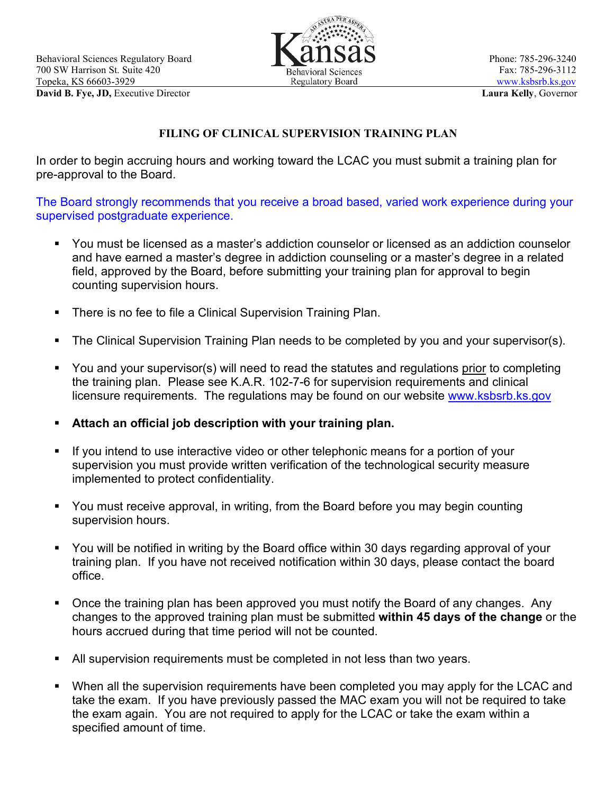

## **FILING OF CLINICAL SUPERVISION TRAINING PLAN**

In order to begin accruing hours and working toward the LCAC you must submit a training plan for pre-approval to the Board.

The Board strongly recommends that you receive a broad based, varied work experience during your supervised postgraduate experience.

- You must be licensed as a master's addiction counselor or licensed as an addiction counselor and have earned a master's degree in addiction counseling or a master's degree in a related field, approved by the Board, before submitting your training plan for approval to begin counting supervision hours.
- **There is no fee to file a Clinical Supervision Training Plan.**
- The Clinical Supervision Training Plan needs to be completed by you and your supervisor(s).
- You and your supervisor(s) will need to read the statutes and regulations prior to completing the training plan. Please see K.A.R. 102-7-6 for supervision requirements and clinical licensure requirements. The regulations may be found on our website [www.ksbsrb.ks.gov](http://www.ksbsrb.ks.gov/)
- **Attach an official job description with your training plan.**
- If you intend to use interactive video or other telephonic means for a portion of your supervision you must provide written verification of the technological security measure implemented to protect confidentiality.
- You must receive approval, in writing, from the Board before you may begin counting supervision hours.
- You will be notified in writing by the Board office within 30 days regarding approval of your training plan. If you have not received notification within 30 days, please contact the board office.
- Once the training plan has been approved you must notify the Board of any changes. Any changes to the approved training plan must be submitted **within 45 days of the change** or the hours accrued during that time period will not be counted.
- All supervision requirements must be completed in not less than two years.
- When all the supervision requirements have been completed you may apply for the LCAC and take the exam. If you have previously passed the MAC exam you will not be required to take the exam again. You are not required to apply for the LCAC or take the exam within a specified amount of time.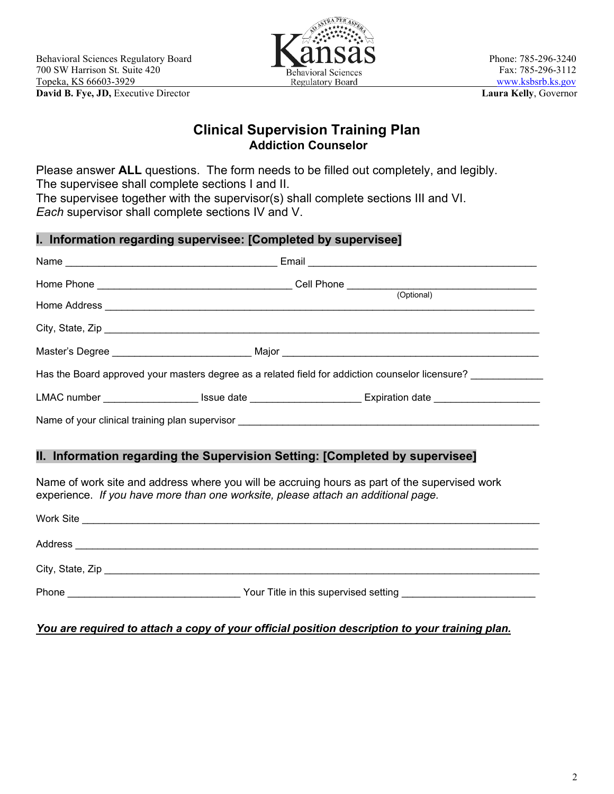

## **Clinical Supervision Training Plan Addiction Counselor**

Please answer **ALL** questions. The form needs to be filled out completely, and legibly. The supervisee shall complete sections I and II. The supervisee together with the supervisor(s) shall complete sections III and VI. *Each* supervisor shall complete sections IV and V.

| I. Information regarding supervisee: [Completed by supervisee] |  |                                                                                                                                                                                    |  |
|----------------------------------------------------------------|--|------------------------------------------------------------------------------------------------------------------------------------------------------------------------------------|--|
|                                                                |  |                                                                                                                                                                                    |  |
|                                                                |  |                                                                                                                                                                                    |  |
|                                                                |  |                                                                                                                                                                                    |  |
|                                                                |  |                                                                                                                                                                                    |  |
|                                                                |  | Has the Board approved your masters degree as a related field for addiction counselor licensure?                                                                                   |  |
|                                                                |  | LMAC number _____________________ Issue date _________________________Expiration date _______________________                                                                      |  |
|                                                                |  |                                                                                                                                                                                    |  |
|                                                                |  | II. Information regarding the Supervision Setting: [Completed by supervisee]                                                                                                       |  |
|                                                                |  | Name of work site and address where you will be accruing hours as part of the supervised work<br>experience. If you have more than one worksite, please attach an additional page. |  |
|                                                                |  |                                                                                                                                                                                    |  |
|                                                                |  |                                                                                                                                                                                    |  |

| City, State, Zip |                                       |  |
|------------------|---------------------------------------|--|
| Phone            | Your Title in this supervised setting |  |

#### *You are required to attach a copy of your official position description to your training plan.*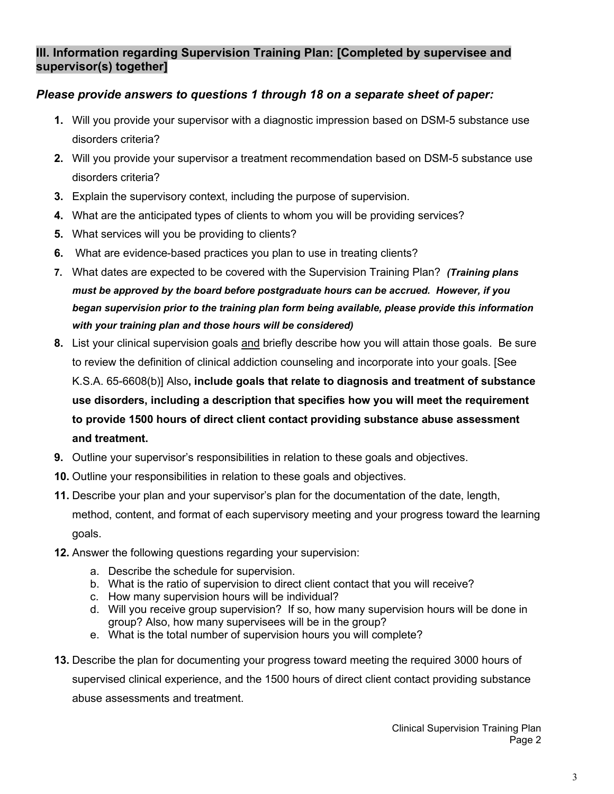### **III. Information regarding Supervision Training Plan: [Completed by supervisee and supervisor(s) together]**

### *Please provide answers to questions 1 through 18 on a separate sheet of paper:*

- **1.** Will you provide your supervisor with a diagnostic impression based on DSM-5 substance use disorders criteria?
- **2.** Will you provide your supervisor a treatment recommendation based on DSM-5 substance use disorders criteria?
- **3.** Explain the supervisory context, including the purpose of supervision.
- **4.** What are the anticipated types of clients to whom you will be providing services?
- **5.** What services will you be providing to clients?
- **6.** What are evidence-based practices you plan to use in treating clients?
- **7.** What dates are expected to be covered with the Supervision Training Plan? *(Training plans must be approved by the board before postgraduate hours can be accrued. However, if you began supervision prior to the training plan form being available, please provide this information with your training plan and those hours will be considered)*
- **8.** List your clinical supervision goals and briefly describe how you will attain those goals. Be sure to review the definition of clinical addiction counseling and incorporate into your goals. [See K.S.A. 65-6608(b)] Also**, include goals that relate to diagnosis and treatment of substance use disorders, including a description that specifies how you will meet the requirement to provide 1500 hours of direct client contact providing substance abuse assessment and treatment.**
- **9.** Outline your supervisor's responsibilities in relation to these goals and objectives.
- **10.** Outline your responsibilities in relation to these goals and objectives.
- **11.** Describe your plan and your supervisor's plan for the documentation of the date, length, method, content, and format of each supervisory meeting and your progress toward the learning goals.
- **12.** Answer the following questions regarding your supervision:
	- a. Describe the schedule for supervision.
	- b. What is the ratio of supervision to direct client contact that you will receive?
	- c. How many supervision hours will be individual?
	- d. Will you receive group supervision? If so, how many supervision hours will be done in group? Also, how many supervisees will be in the group?
	- e. What is the total number of supervision hours you will complete?
- **13.** Describe the plan for documenting your progress toward meeting the required 3000 hours of

supervised clinical experience, and the 1500 hours of direct client contact providing substance abuse assessments and treatment.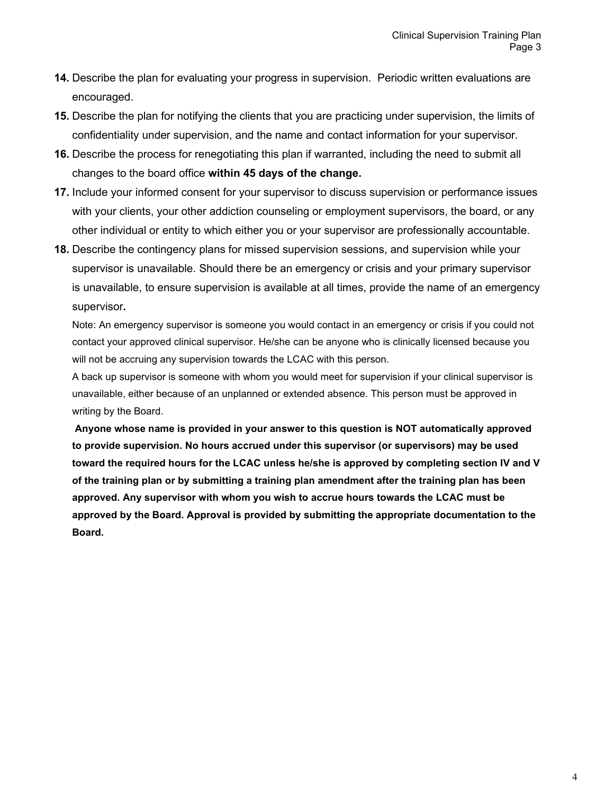- **14.** Describe the plan for evaluating your progress in supervision. Periodic written evaluations are encouraged.
- **15.** Describe the plan for notifying the clients that you are practicing under supervision, the limits of confidentiality under supervision, and the name and contact information for your supervisor.
- **16.** Describe the process for renegotiating this plan if warranted, including the need to submit all changes to the board office **within 45 days of the change.**
- **17.** Include your informed consent for your supervisor to discuss supervision or performance issues with your clients, your other addiction counseling or employment supervisors, the board, or any other individual or entity to which either you or your supervisor are professionally accountable.
- **18.** Describe the contingency plans for missed supervision sessions, and supervision while your supervisor is unavailable. Should there be an emergency or crisis and your primary supervisor is unavailable, to ensure supervision is available at all times, provide the name of an emergency supervisor**.**

Note: An emergency supervisor is someone you would contact in an emergency or crisis if you could not contact your approved clinical supervisor. He/she can be anyone who is clinically licensed because you will not be accruing any supervision towards the LCAC with this person.

A back up supervisor is someone with whom you would meet for supervision if your clinical supervisor is unavailable, either because of an unplanned or extended absence. This person must be approved in writing by the Board.

**Anyone whose name is provided in your answer to this question is NOT automatically approved to provide supervision. No hours accrued under this supervisor (or supervisors) may be used toward the required hours for the LCAC unless he/she is approved by completing section IV and V of the training plan or by submitting a training plan amendment after the training plan has been approved. Any supervisor with whom you wish to accrue hours towards the LCAC must be approved by the Board. Approval is provided by submitting the appropriate documentation to the Board.**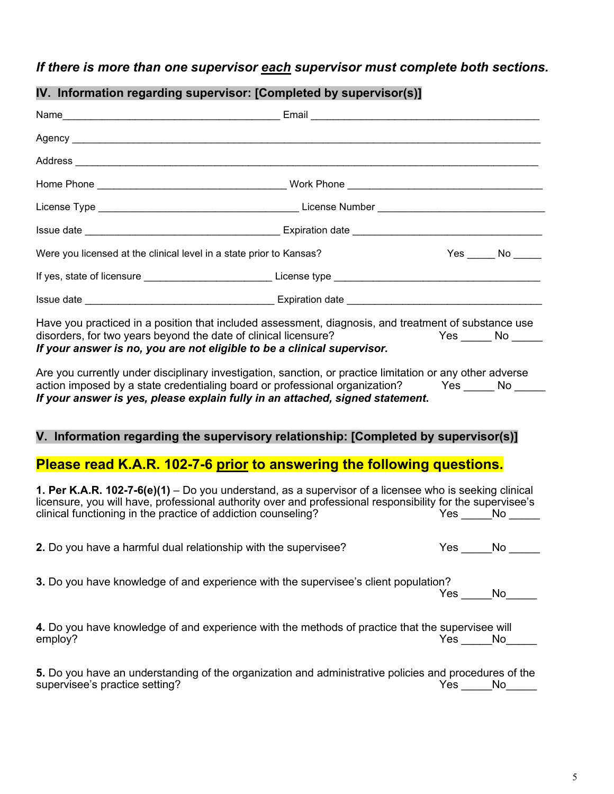# *If there is more than one supervisor each supervisor must complete both sections.*

|                                                                     | $\mathbf{u}$ . Information regarding supervisor. [Sompleted by supervisor(s)]                                                                                                                                                                                                                                                                                                                                                                                                                                                                                                           |                 |
|---------------------------------------------------------------------|-----------------------------------------------------------------------------------------------------------------------------------------------------------------------------------------------------------------------------------------------------------------------------------------------------------------------------------------------------------------------------------------------------------------------------------------------------------------------------------------------------------------------------------------------------------------------------------------|-----------------|
|                                                                     |                                                                                                                                                                                                                                                                                                                                                                                                                                                                                                                                                                                         |                 |
|                                                                     |                                                                                                                                                                                                                                                                                                                                                                                                                                                                                                                                                                                         |                 |
|                                                                     |                                                                                                                                                                                                                                                                                                                                                                                                                                                                                                                                                                                         |                 |
|                                                                     |                                                                                                                                                                                                                                                                                                                                                                                                                                                                                                                                                                                         |                 |
|                                                                     |                                                                                                                                                                                                                                                                                                                                                                                                                                                                                                                                                                                         |                 |
| Were you licensed at the clinical level in a state prior to Kansas? |                                                                                                                                                                                                                                                                                                                                                                                                                                                                                                                                                                                         |                 |
|                                                                     |                                                                                                                                                                                                                                                                                                                                                                                                                                                                                                                                                                                         |                 |
|                                                                     |                                                                                                                                                                                                                                                                                                                                                                                                                                                                                                                                                                                         |                 |
|                                                                     | Have you practiced in a position that included assessment, diagnosis, and treatment of substance use<br>disorders, for two years beyond the date of clinical licensure? The Moretter of the Moretter of the Mo<br>If your answer is no, you are not eligible to be a clinical supervisor.<br>Are you currently under disciplinary investigation, sanction, or practice limitation or any other adverse<br>action imposed by a state credentialing board or professional organization? Yes _____ No ___<br>If your answer is yes, please explain fully in an attached, signed statement. |                 |
|                                                                     | V. Information regarding the supervisory relationship: [Completed by supervisor(s)]                                                                                                                                                                                                                                                                                                                                                                                                                                                                                                     |                 |
|                                                                     | Please read K.A.R. 102-7-6 prior to answering the following questions.                                                                                                                                                                                                                                                                                                                                                                                                                                                                                                                  |                 |
| clinical functioning in the practice of addiction counseling?       | 1. Per K.A.R. 102-7-6(e)(1) – Do you understand, as a supervisor of a licensee who is seeking clinical<br>licensure, you will have, professional authority over and professional responsibility for the supervisee's                                                                                                                                                                                                                                                                                                                                                                    | $Yes$ No $\_\_$ |
|                                                                     | 2. Do you have a harmful dual relationship with the supervisee?                                                                                                                                                                                                                                                                                                                                                                                                                                                                                                                         | Yes No          |
|                                                                     | 3. Do you have knowledge of and experience with the supervisee's client population?                                                                                                                                                                                                                                                                                                                                                                                                                                                                                                     | Yes No          |
| employ?                                                             | 4. Do you have knowledge of and experience with the methods of practice that the supervisee will                                                                                                                                                                                                                                                                                                                                                                                                                                                                                        | Yes No          |
| supervisee's practice setting?                                      | 5. Do you have an understanding of the organization and administrative policies and procedures of the                                                                                                                                                                                                                                                                                                                                                                                                                                                                                   | Yes No          |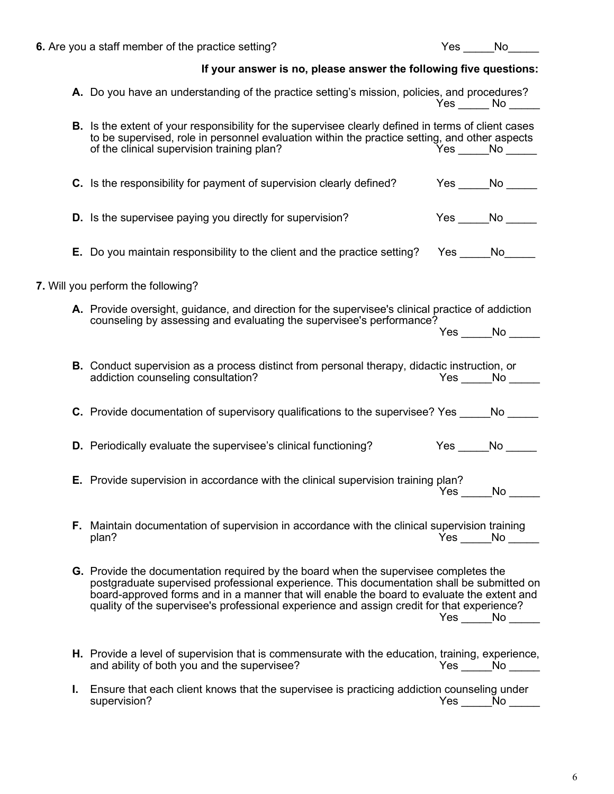|  |      | A. Do you have an understanding of the practice setting's mission, policies, and procedures?                                                                                                                                                                                                                                                                                  | $Yes \_\_ No \_\_$ |        |  |
|--|------|-------------------------------------------------------------------------------------------------------------------------------------------------------------------------------------------------------------------------------------------------------------------------------------------------------------------------------------------------------------------------------|--------------------|--------|--|
|  |      | B. Is the extent of your responsibility for the supervisee clearly defined in terms of client cases<br>to be supervised, role in personnel evaluation within the practice setting, and other aspects<br>of the clinical supervision training plan?                                                                                                                            | Yes No             |        |  |
|  |      | C. Is the responsibility for payment of supervision clearly defined?                                                                                                                                                                                                                                                                                                          | Yes ______No _     |        |  |
|  |      | <b>D.</b> Is the supervisee paying you directly for supervision?                                                                                                                                                                                                                                                                                                              | $Yes$ No $\_\_$    |        |  |
|  |      | <b>E.</b> Do you maintain responsibility to the client and the practice setting? Yes _____No_____                                                                                                                                                                                                                                                                             |                    |        |  |
|  |      | 7. Will you perform the following?                                                                                                                                                                                                                                                                                                                                            |                    |        |  |
|  |      | A. Provide oversight, guidance, and direction for the supervisee's clinical practice of addiction<br>counseling by assessing and evaluating the supervisee's performance?                                                                                                                                                                                                     |                    |        |  |
|  |      |                                                                                                                                                                                                                                                                                                                                                                               | Yes No             |        |  |
|  |      | <b>B.</b> Conduct supervision as a process distinct from personal therapy, didactic instruction, or<br>addiction counseling consultation?                                                                                                                                                                                                                                     |                    | Yes No |  |
|  |      | <b>C.</b> Provide documentation of supervisory qualifications to the supervisee? Yes No                                                                                                                                                                                                                                                                                       |                    |        |  |
|  |      | <b>D.</b> Periodically evaluate the supervisee's clinical functioning?                                                                                                                                                                                                                                                                                                        | $Yes \_\_No \_\_$  |        |  |
|  |      | <b>E.</b> Provide supervision in accordance with the clinical supervision training plan?                                                                                                                                                                                                                                                                                      | Yes                | No l   |  |
|  | F. . | Maintain documentation of supervision in accordance with the clinical supervision training<br>plan?                                                                                                                                                                                                                                                                           |                    | Yes No |  |
|  |      | G. Provide the documentation required by the board when the supervisee completes the<br>postgraduate supervised professional experience. This documentation shall be submitted on<br>board-approved forms and in a manner that will enable the board to evaluate the extent and<br>quality of the supervisee's professional experience and assign credit for that experience? |                    | Yes No |  |
|  |      | H. Provide a level of supervision that is commensurate with the education, training, experience,<br>and ability of both you and the supervisee?                                                                                                                                                                                                                               |                    | Yes No |  |
|  | L.   | Ensure that each client knows that the supervisee is practicing addiction counseling under<br>supervision?                                                                                                                                                                                                                                                                    | Yes                | No     |  |

6